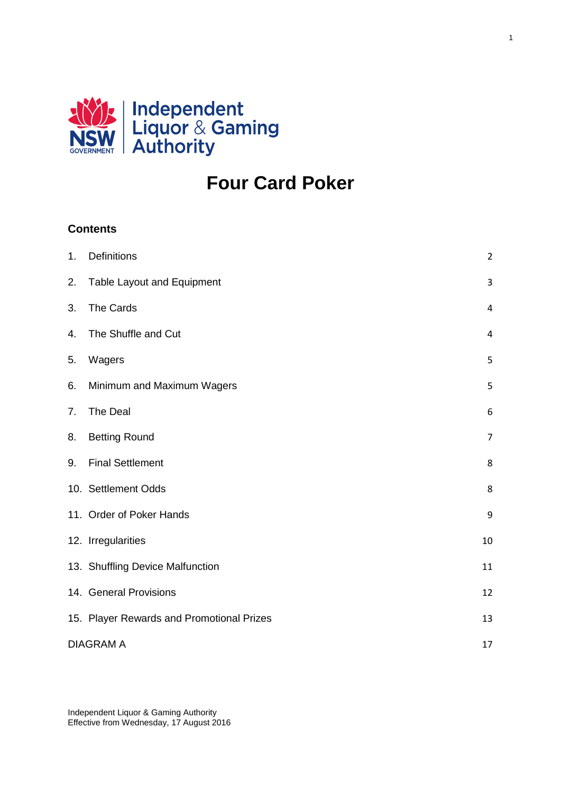

# **Four Card Poker**

1

# **Contents**

| 1. | Definitions                               | $\overline{2}$ |  |
|----|-------------------------------------------|----------------|--|
| 2. | Table Layout and Equipment                | $\overline{3}$ |  |
| 3. | The Cards                                 | $\overline{4}$ |  |
| 4. | The Shuffle and Cut                       | $\overline{4}$ |  |
| 5. | Wagers                                    | 5              |  |
| 6. | Minimum and Maximum Wagers                | 5              |  |
| 7. | The Deal                                  | 6              |  |
| 8. | <b>Betting Round</b>                      | $\overline{7}$ |  |
| 9. | <b>Final Settlement</b>                   | 8              |  |
|    | 10. Settlement Odds                       | 8              |  |
|    | 11. Order of Poker Hands                  | 9              |  |
|    | 12. Irregularities                        | 10             |  |
|    | 13. Shuffling Device Malfunction          | 11             |  |
|    | 14. General Provisions                    | 12             |  |
|    | 15. Player Rewards and Promotional Prizes | 13             |  |
|    | <b>DIAGRAM A</b><br>17                    |                |  |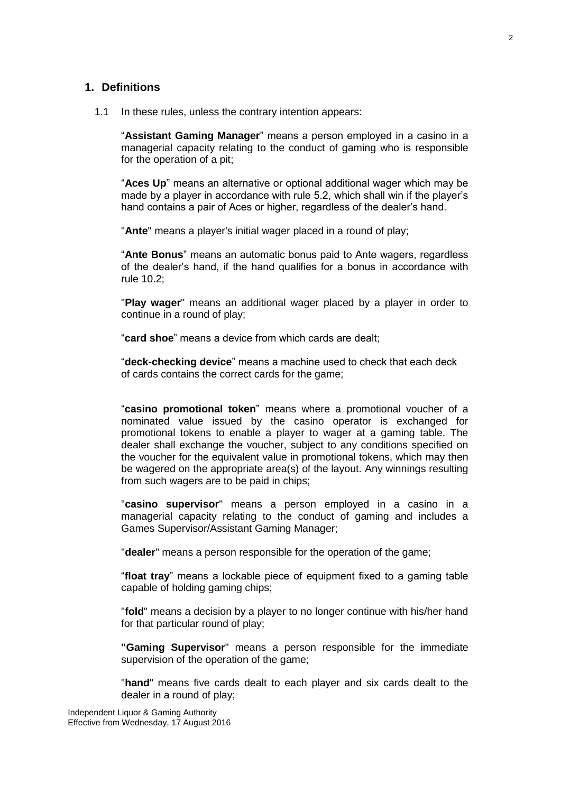#### <span id="page-1-0"></span>**1. Definitions**

1.1 In these rules, unless the contrary intention appears:

"**Assistant Gaming Manager**" means a person employed in a casino in a managerial capacity relating to the conduct of gaming who is responsible for the operation of a pit;

"**Aces Up**" means an alternative or optional additional wager which may be made by a player in accordance with rule 5.2, which shall win if the player's hand contains a pair of Aces or higher, regardless of the dealer's hand.

"**Ante**" means a player's initial wager placed in a round of play;

"**Ante Bonus**" means an automatic bonus paid to Ante wagers, regardless of the dealer's hand, if the hand qualifies for a bonus in accordance with rule 10.2;

"**Play wager**" means an additional wager placed by a player in order to continue in a round of play;

"**card shoe**" means a device from which cards are dealt;

"**deck-checking device**" means a machine used to check that each deck of cards contains the correct cards for the game;

"**casino promotional token**" means where a promotional voucher of a nominated value issued by the casino operator is exchanged for promotional tokens to enable a player to wager at a gaming table. The dealer shall exchange the voucher, subject to any conditions specified on the voucher for the equivalent value in promotional tokens, which may then be wagered on the appropriate area(s) of the layout. Any winnings resulting from such wagers are to be paid in chips;

"**casino supervisor**" means a person employed in a casino in a managerial capacity relating to the conduct of gaming and includes a Games Supervisor/Assistant Gaming Manager;

"**dealer**" means a person responsible for the operation of the game;

"**float tray**" means a lockable piece of equipment fixed to a gaming table capable of holding gaming chips;

"**fold**" means a decision by a player to no longer continue with his/her hand for that particular round of play;

**"Gaming Supervisor**" means a person responsible for the immediate supervision of the operation of the game;

"**hand**" means five cards dealt to each player and six cards dealt to the dealer in a round of play;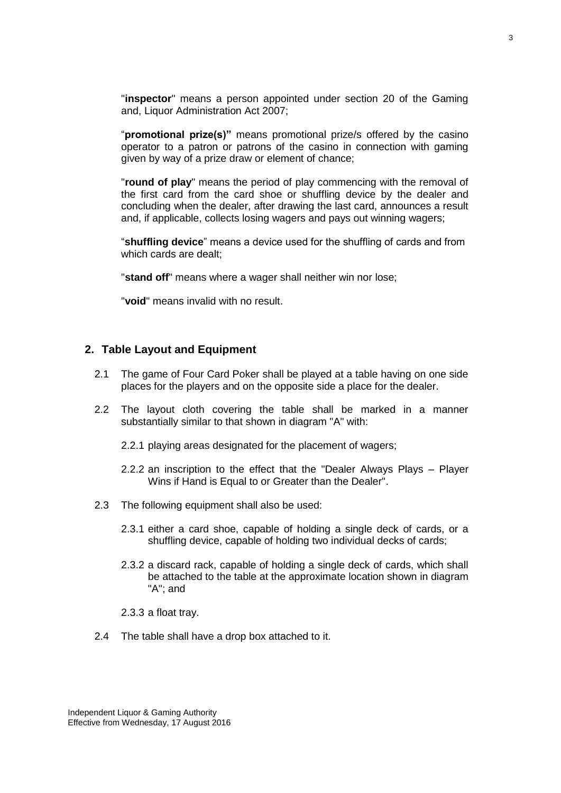"**inspector**" means a person appointed under section 20 of the Gaming and, Liquor Administration Act 2007;

"**promotional prize(s)"** means promotional prize/s offered by the casino operator to a patron or patrons of the casino in connection with gaming given by way of a prize draw or element of chance;

"**round of play**" means the period of play commencing with the removal of the first card from the card shoe or shuffling device by the dealer and concluding when the dealer, after drawing the last card, announces a result and, if applicable, collects losing wagers and pays out winning wagers;

"**shuffling device**" means a device used for the shuffling of cards and from which cards are dealt;

"**stand off**" means where a wager shall neither win nor lose;

"**void**" means invalid with no result.

#### <span id="page-2-0"></span>**2. Table Layout and Equipment**

- 2.1 The game of Four Card Poker shall be played at a table having on one side places for the players and on the opposite side a place for the dealer.
- 2.2 The layout cloth covering the table shall be marked in a manner substantially similar to that shown in diagram "A" with:
	- 2.2.1 playing areas designated for the placement of wagers;
	- 2.2.2 an inscription to the effect that the "Dealer Always Plays Player Wins if Hand is Equal to or Greater than the Dealer".
- 2.3 The following equipment shall also be used:
	- 2.3.1 either a card shoe, capable of holding a single deck of cards, or a shuffling device, capable of holding two individual decks of cards;
	- 2.3.2 a discard rack, capable of holding a single deck of cards, which shall be attached to the table at the approximate location shown in diagram "A"; and
	- 2.3.3 a float tray.
- 2.4 The table shall have a drop box attached to it.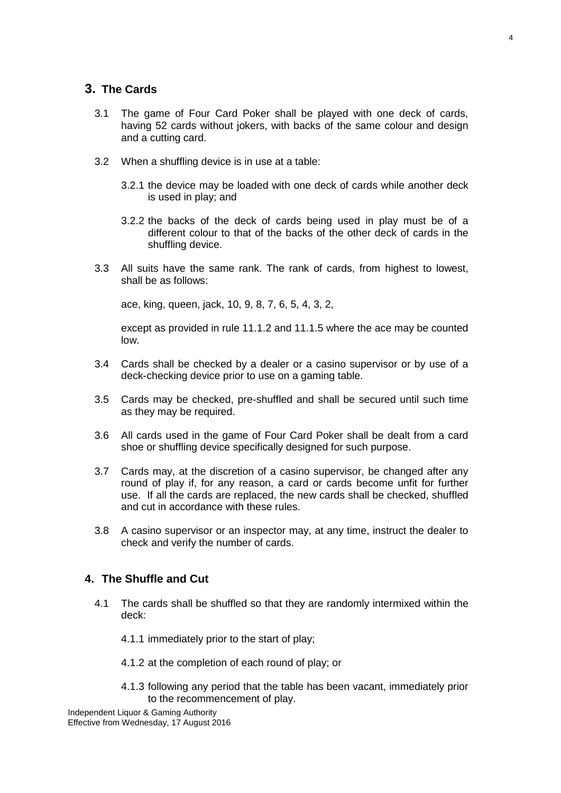#### <span id="page-3-0"></span>**3. The Cards**

- 3.1 The game of Four Card Poker shall be played with one deck of cards, having 52 cards without jokers, with backs of the same colour and design and a cutting card.
- 3.2 When a shuffling device is in use at a table:
	- 3.2.1 the device may be loaded with one deck of cards while another deck is used in play; and
	- 3.2.2 the backs of the deck of cards being used in play must be of a different colour to that of the backs of the other deck of cards in the shuffling device.
- 3.3 All suits have the same rank. The rank of cards, from highest to lowest, shall be as follows:

ace, king, queen, jack, 10, 9, 8, 7, 6, 5, 4, 3, 2,

except as provided in rule 11.1.2 and 11.1.5 where the ace may be counted low.

- 3.4 Cards shall be checked by a dealer or a casino supervisor or by use of a deck-checking device prior to use on a gaming table.
- 3.5 Cards may be checked, pre-shuffled and shall be secured until such time as they may be required.
- 3.6 All cards used in the game of Four Card Poker shall be dealt from a card shoe or shuffling device specifically designed for such purpose.
- 3.7 Cards may, at the discretion of a casino supervisor, be changed after any round of play if, for any reason, a card or cards become unfit for further use. If all the cards are replaced, the new cards shall be checked, shuffled and cut in accordance with these rules.
- 3.8 A casino supervisor or an inspector may, at any time, instruct the dealer to check and verify the number of cards.

### <span id="page-3-1"></span>**4. The Shuffle and Cut**

- 4.1 The cards shall be shuffled so that they are randomly intermixed within the deck:
	- 4.1.1 immediately prior to the start of play;
	- 4.1.2 at the completion of each round of play; or
	- 4.1.3 following any period that the table has been vacant, immediately prior to the recommencement of play.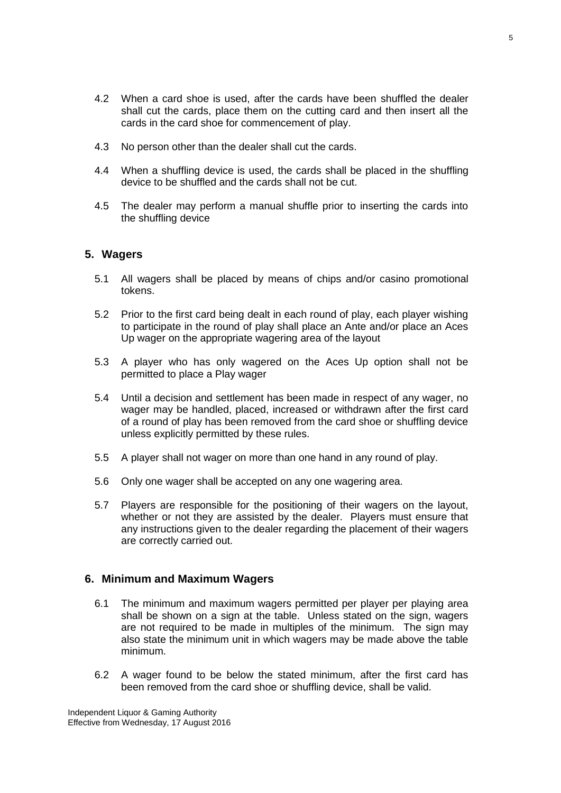- 4.2 When a card shoe is used, after the cards have been shuffled the dealer shall cut the cards, place them on the cutting card and then insert all the cards in the card shoe for commencement of play.
- 4.3 No person other than the dealer shall cut the cards.
- 4.4 When a shuffling device is used, the cards shall be placed in the shuffling device to be shuffled and the cards shall not be cut.
- 4.5 The dealer may perform a manual shuffle prior to inserting the cards into the shuffling device

#### <span id="page-4-0"></span>**5. Wagers**

- 5.1 All wagers shall be placed by means of chips and/or casino promotional tokens.
- 5.2 Prior to the first card being dealt in each round of play, each player wishing to participate in the round of play shall place an Ante and/or place an Aces Up wager on the appropriate wagering area of the layout
- 5.3 A player who has only wagered on the Aces Up option shall not be permitted to place a Play wager
- 5.4 Until a decision and settlement has been made in respect of any wager, no wager may be handled, placed, increased or withdrawn after the first card of a round of play has been removed from the card shoe or shuffling device unless explicitly permitted by these rules.
- 5.5 A player shall not wager on more than one hand in any round of play.
- 5.6 Only one wager shall be accepted on any one wagering area.
- 5.7 Players are responsible for the positioning of their wagers on the layout, whether or not they are assisted by the dealer. Players must ensure that any instructions given to the dealer regarding the placement of their wagers are correctly carried out.

#### <span id="page-4-1"></span>**6. Minimum and Maximum Wagers**

- 6.1 The minimum and maximum wagers permitted per player per playing area shall be shown on a sign at the table. Unless stated on the sign. wagers are not required to be made in multiples of the minimum. The sign may also state the minimum unit in which wagers may be made above the table minimum.
- 6.2 A wager found to be below the stated minimum, after the first card has been removed from the card shoe or shuffling device, shall be valid.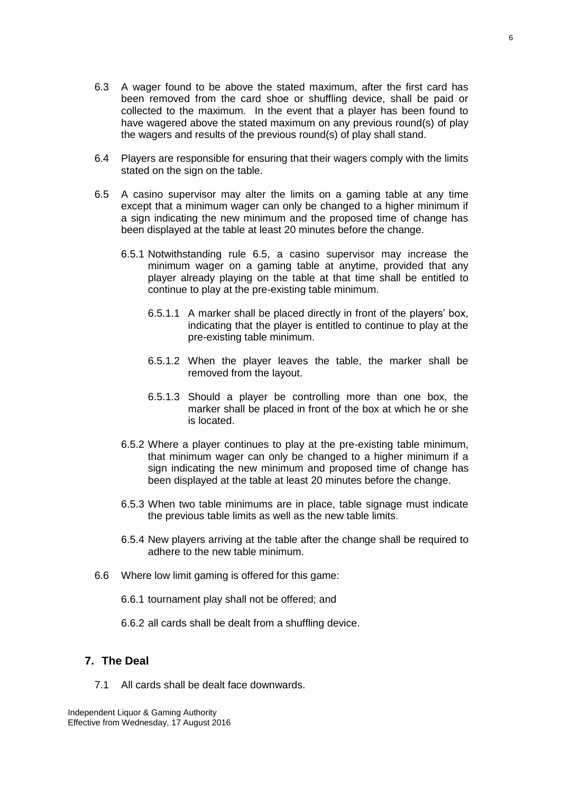- 6.3 A wager found to be above the stated maximum, after the first card has been removed from the card shoe or shuffling device, shall be paid or collected to the maximum. In the event that a player has been found to have wagered above the stated maximum on any previous round(s) of play the wagers and results of the previous round(s) of play shall stand.
- 6.4 Players are responsible for ensuring that their wagers comply with the limits stated on the sign on the table.
- 6.5 A casino supervisor may alter the limits on a gaming table at any time except that a minimum wager can only be changed to a higher minimum if a sign indicating the new minimum and the proposed time of change has been displayed at the table at least 20 minutes before the change.
	- 6.5.1 Notwithstanding rule 6.5, a casino supervisor may increase the minimum wager on a gaming table at anytime, provided that any player already playing on the table at that time shall be entitled to continue to play at the pre-existing table minimum.
		- 6.5.1.1 A marker shall be placed directly in front of the players' box, indicating that the player is entitled to continue to play at the pre-existing table minimum.
		- 6.5.1.2 When the player leaves the table, the marker shall be removed from the layout.
		- 6.5.1.3 Should a player be controlling more than one box, the marker shall be placed in front of the box at which he or she is located.
	- 6.5.2 Where a player continues to play at the pre-existing table minimum, that minimum wager can only be changed to a higher minimum if a sign indicating the new minimum and proposed time of change has been displayed at the table at least 20 minutes before the change.
	- 6.5.3 When two table minimums are in place, table signage must indicate the previous table limits as well as the new table limits.
	- 6.5.4 New players arriving at the table after the change shall be required to adhere to the new table minimum.
- 6.6 Where low limit gaming is offered for this game:
	- 6.6.1 tournament play shall not be offered; and
	- 6.6.2 all cards shall be dealt from a shuffling device.

## <span id="page-5-0"></span>**7. The Deal**

7.1 All cards shall be dealt face downwards.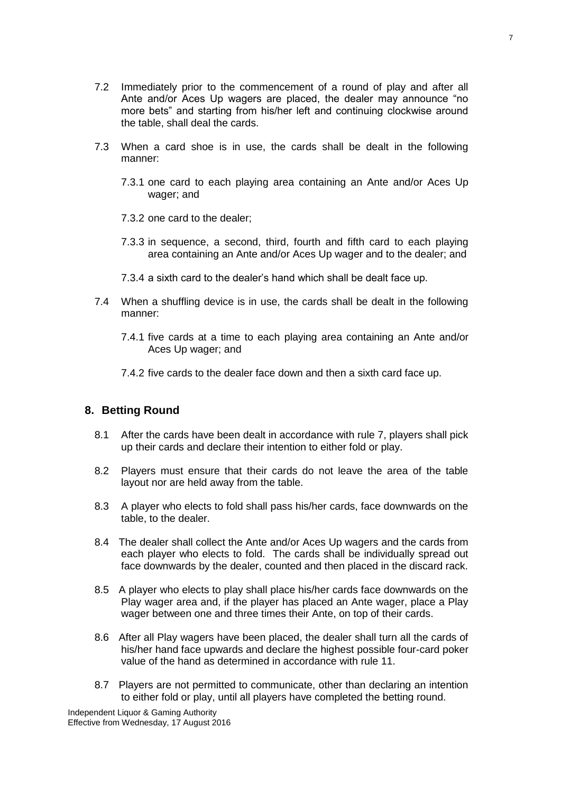- 7.2 Immediately prior to the commencement of a round of play and after all Ante and/or Aces Up wagers are placed, the dealer may announce "no more bets" and starting from his/her left and continuing clockwise around the table, shall deal the cards.
- 7.3 When a card shoe is in use, the cards shall be dealt in the following manner:
	- 7.3.1 one card to each playing area containing an Ante and/or Aces Up wager; and
	- 7.3.2 one card to the dealer;
	- 7.3.3 in sequence, a second, third, fourth and fifth card to each playing area containing an Ante and/or Aces Up wager and to the dealer; and
	- 7.3.4 a sixth card to the dealer's hand which shall be dealt face up.
- 7.4 When a shuffling device is in use, the cards shall be dealt in the following manner:
	- 7.4.1 five cards at a time to each playing area containing an Ante and/or Aces Up wager; and
	- 7.4.2 five cards to the dealer face down and then a sixth card face up.

#### <span id="page-6-0"></span>**8. Betting Round**

- 8.1 After the cards have been dealt in accordance with rule 7, players shall pick up their cards and declare their intention to either fold or play.
- 8.2 Players must ensure that their cards do not leave the area of the table layout nor are held away from the table.
- 8.3 A player who elects to fold shall pass his/her cards, face downwards on the table, to the dealer.
- 8.4 The dealer shall collect the Ante and/or Aces Up wagers and the cards from each player who elects to fold. The cards shall be individually spread out face downwards by the dealer, counted and then placed in the discard rack.
- 8.5 A player who elects to play shall place his/her cards face downwards on the Play wager area and, if the player has placed an Ante wager, place a Play wager between one and three times their Ante, on top of their cards.
- 8.6 After all Play wagers have been placed, the dealer shall turn all the cards of his/her hand face upwards and declare the highest possible four-card poker value of the hand as determined in accordance with rule 11.
- 8.7 Players are not permitted to communicate, other than declaring an intention to either fold or play, until all players have completed the betting round.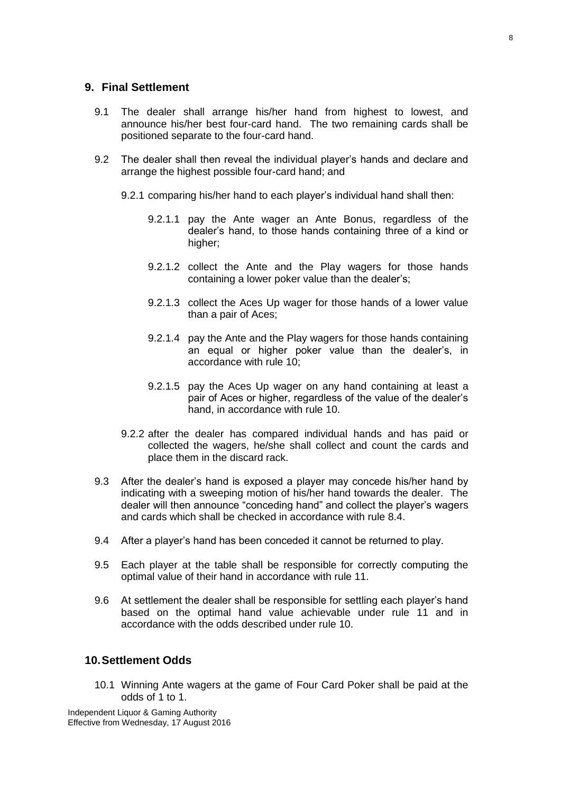#### <span id="page-7-0"></span>**9. Final Settlement**

- 9.1 The dealer shall arrange his/her hand from highest to lowest, and announce his/her best four-card hand. The two remaining cards shall be positioned separate to the four-card hand.
- 9.2 The dealer shall then reveal the individual player's hands and declare and arrange the highest possible four-card hand; and
	- 9.2.1 comparing his/her hand to each player's individual hand shall then:
		- 9.2.1.1 pay the Ante wager an Ante Bonus, regardless of the dealer's hand, to those hands containing three of a kind or higher:
		- 9.2.1.2 collect the Ante and the Play wagers for those hands containing a lower poker value than the dealer's;
		- 9.2.1.3 collect the Aces Up wager for those hands of a lower value than a pair of Aces;
		- 9.2.1.4 pay the Ante and the Play wagers for those hands containing an equal or higher poker value than the dealer's, in accordance with rule 10;
		- 9.2.1.5 pay the Aces Up wager on any hand containing at least a pair of Aces or higher, regardless of the value of the dealer's hand, in accordance with rule 10.
	- 9.2.2 after the dealer has compared individual hands and has paid or collected the wagers, he/she shall collect and count the cards and place them in the discard rack.
- 9.3 After the dealer's hand is exposed a player may concede his/her hand by indicating with a sweeping motion of his/her hand towards the dealer. The dealer will then announce "conceding hand" and collect the player's wagers and cards which shall be checked in accordance with rule 8.4.
- 9.4 After a player's hand has been conceded it cannot be returned to play.
- 9.5 Each player at the table shall be responsible for correctly computing the optimal value of their hand in accordance with rule 11.
- 9.6 At settlement the dealer shall be responsible for settling each player's hand based on the optimal hand value achievable under rule 11 and in accordance with the odds described under rule 10.

## <span id="page-7-1"></span>**10.Settlement Odds**

10.1 Winning Ante wagers at the game of Four Card Poker shall be paid at the odds of 1 to 1.

Independent Liquor & Gaming Authority Effective from Wednesday, 17 August 2016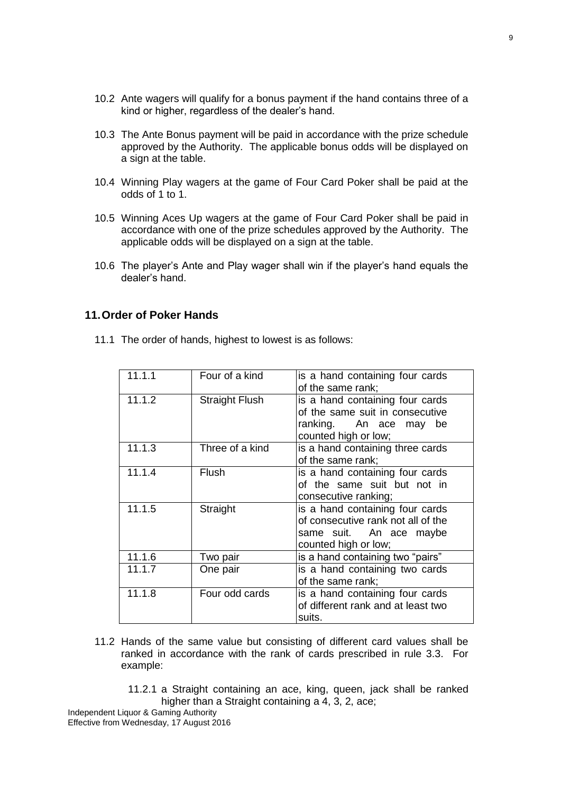- 
- 10.2 Ante wagers will qualify for a bonus payment if the hand contains three of a kind or higher, regardless of the dealer's hand.
- 10.3 The Ante Bonus payment will be paid in accordance with the prize schedule approved by the Authority. The applicable bonus odds will be displayed on a sign at the table.
- 10.4 Winning Play wagers at the game of Four Card Poker shall be paid at the odds of 1 to 1.
- 10.5 Winning Aces Up wagers at the game of Four Card Poker shall be paid in accordance with one of the prize schedules approved by the Authority. The applicable odds will be displayed on a sign at the table.
- 10.6 The player's Ante and Play wager shall win if the player's hand equals the dealer's hand.

#### <span id="page-8-0"></span>**11.Order of Poker Hands**

11.1 The order of hands, highest to lowest is as follows:

| 11.1.1 | Four of a kind        | is a hand containing four cards<br>of the same rank;                                                                     |
|--------|-----------------------|--------------------------------------------------------------------------------------------------------------------------|
| 11.1.2 | <b>Straight Flush</b> | is a hand containing four cards<br>of the same suit in consecutive<br>ranking. An ace may be<br>counted high or low;     |
| 11.1.3 | Three of a kind       | is a hand containing three cards<br>of the same rank;                                                                    |
| 11.1.4 | <b>Flush</b>          | is a hand containing four cards<br>of the same suit but not in<br>consecutive ranking;                                   |
| 11.1.5 | Straight              | is a hand containing four cards<br>of consecutive rank not all of the<br>same suit. An ace maybe<br>counted high or low; |
| 11.1.6 | Two pair              | is a hand containing two "pairs"                                                                                         |
| 11.1.7 | One pair              | is a hand containing two cards<br>of the same rank;                                                                      |
| 11.1.8 | Four odd cards        | is a hand containing four cards<br>of different rank and at least two<br>suits.                                          |

- 11.2 Hands of the same value but consisting of different card values shall be ranked in accordance with the rank of cards prescribed in rule 3.3. For example:
	- 11.2.1 a Straight containing an ace, king, queen, jack shall be ranked higher than a Straight containing a 4, 3, 2, ace;

Independent Liquor & Gaming Authority Effective from Wednesday, 17 August 2016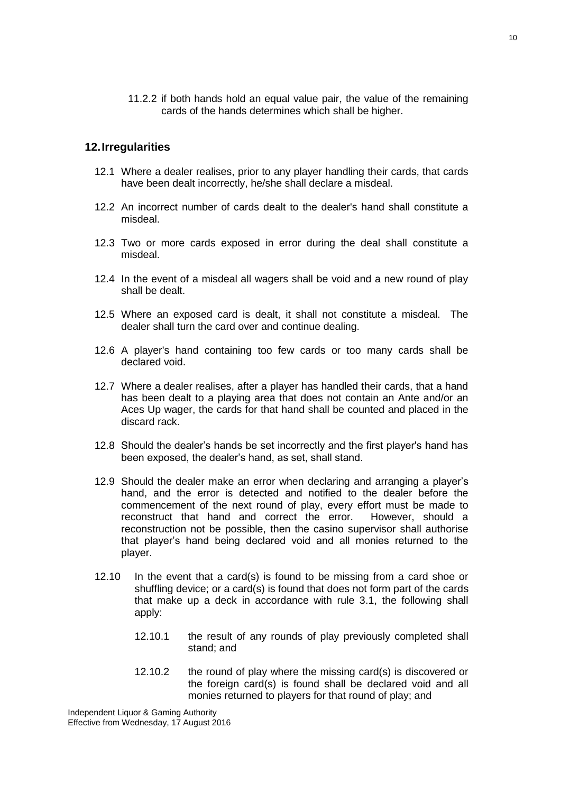11.2.2 if both hands hold an equal value pair, the value of the remaining cards of the hands determines which shall be higher.

#### <span id="page-9-0"></span>**12.Irregularities**

- 12.1 Where a dealer realises, prior to any player handling their cards, that cards have been dealt incorrectly, he/she shall declare a misdeal.
- 12.2 An incorrect number of cards dealt to the dealer's hand shall constitute a misdeal.
- 12.3 Two or more cards exposed in error during the deal shall constitute a misdeal.
- 12.4 In the event of a misdeal all wagers shall be void and a new round of play shall be dealt.
- 12.5 Where an exposed card is dealt, it shall not constitute a misdeal. The dealer shall turn the card over and continue dealing.
- 12.6 A player's hand containing too few cards or too many cards shall be declared void.
- 12.7 Where a dealer realises, after a player has handled their cards, that a hand has been dealt to a playing area that does not contain an Ante and/or an Aces Up wager, the cards for that hand shall be counted and placed in the discard rack.
- 12.8 Should the dealer's hands be set incorrectly and the first player's hand has been exposed, the dealer's hand, as set, shall stand.
- 12.9 Should the dealer make an error when declaring and arranging a player's hand, and the error is detected and notified to the dealer before the commencement of the next round of play, every effort must be made to reconstruct that hand and correct the error. However, should a reconstruction not be possible, then the casino supervisor shall authorise that player's hand being declared void and all monies returned to the player.
- 12.10 In the event that a card(s) is found to be missing from a card shoe or shuffling device; or a card(s) is found that does not form part of the cards that make up a deck in accordance with rule 3.1, the following shall apply:
	- 12.10.1 the result of any rounds of play previously completed shall stand; and
	- 12.10.2 the round of play where the missing card(s) is discovered or the foreign card(s) is found shall be declared void and all monies returned to players for that round of play; and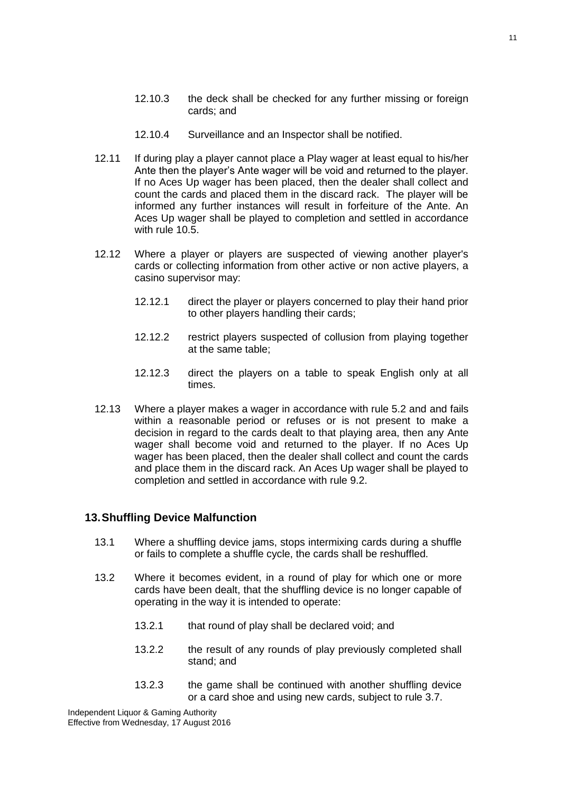- 12.10.3 the deck shall be checked for any further missing or foreign cards; and
- 12.10.4 Surveillance and an Inspector shall be notified.
- 12.11 If during play a player cannot place a Play wager at least equal to his/her Ante then the player's Ante wager will be void and returned to the player. If no Aces Up wager has been placed, then the dealer shall collect and count the cards and placed them in the discard rack. The player will be informed any further instances will result in forfeiture of the Ante. An Aces Up wager shall be played to completion and settled in accordance with rule 10.5.
- 12.12 Where a player or players are suspected of viewing another player's cards or collecting information from other active or non active players, a casino supervisor may:
	- 12.12.1 direct the player or players concerned to play their hand prior to other players handling their cards;
	- 12.12.2 restrict players suspected of collusion from playing together at the same table;
	- 12.12.3 direct the players on a table to speak English only at all times.
- 12.13 Where a player makes a wager in accordance with rule 5.2 and and fails within a reasonable period or refuses or is not present to make a decision in regard to the cards dealt to that playing area, then any Ante wager shall become void and returned to the player. If no Aces Up wager has been placed, then the dealer shall collect and count the cards and place them in the discard rack. An Aces Up wager shall be played to completion and settled in accordance with rule 9.2.

#### <span id="page-10-0"></span>**13.Shuffling Device Malfunction**

- 13.1 Where a shuffling device jams, stops intermixing cards during a shuffle or fails to complete a shuffle cycle, the cards shall be reshuffled.
- 13.2 Where it becomes evident, in a round of play for which one or more cards have been dealt, that the shuffling device is no longer capable of operating in the way it is intended to operate:
	- 13.2.1 that round of play shall be declared void; and
	- 13.2.2 the result of any rounds of play previously completed shall stand; and
	- 13.2.3 the game shall be continued with another shuffling device or a card shoe and using new cards, subject to rule 3.7.

Independent Liquor & Gaming Authority Effective from Wednesday, 17 August 2016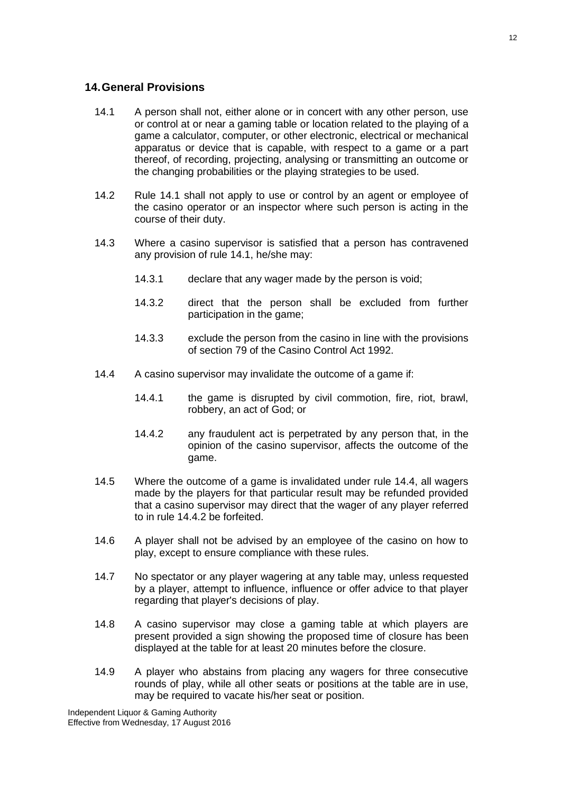#### <span id="page-11-0"></span>**14.General Provisions**

- 14.1 A person shall not, either alone or in concert with any other person, use or control at or near a gaming table or location related to the playing of a game a calculator, computer, or other electronic, electrical or mechanical apparatus or device that is capable, with respect to a game or a part thereof, of recording, projecting, analysing or transmitting an outcome or the changing probabilities or the playing strategies to be used.
- 14.2 Rule 14.1 shall not apply to use or control by an agent or employee of the casino operator or an inspector where such person is acting in the course of their duty.
- 14.3 Where a casino supervisor is satisfied that a person has contravened any provision of rule 14.1, he/she may:
	- 14.3.1 declare that any wager made by the person is void;
	- 14.3.2 direct that the person shall be excluded from further participation in the game;
	- 14.3.3 exclude the person from the casino in line with the provisions of section 79 of the Casino Control Act 1992.
- 14.4 A casino supervisor may invalidate the outcome of a game if:
	- 14.4.1 the game is disrupted by civil commotion, fire, riot, brawl, robbery, an act of God; or
	- 14.4.2 any fraudulent act is perpetrated by any person that, in the opinion of the casino supervisor, affects the outcome of the game.
- 14.5 Where the outcome of a game is invalidated under rule 14.4, all wagers made by the players for that particular result may be refunded provided that a casino supervisor may direct that the wager of any player referred to in rule 14.4.2 be forfeited.
- 14.6 A player shall not be advised by an employee of the casino on how to play, except to ensure compliance with these rules.
- 14.7 No spectator or any player wagering at any table may, unless requested by a player, attempt to influence, influence or offer advice to that player regarding that player's decisions of play.
- 14.8 A casino supervisor may close a gaming table at which players are present provided a sign showing the proposed time of closure has been displayed at the table for at least 20 minutes before the closure.
- 14.9 A player who abstains from placing any wagers for three consecutive rounds of play, while all other seats or positions at the table are in use, may be required to vacate his/her seat or position.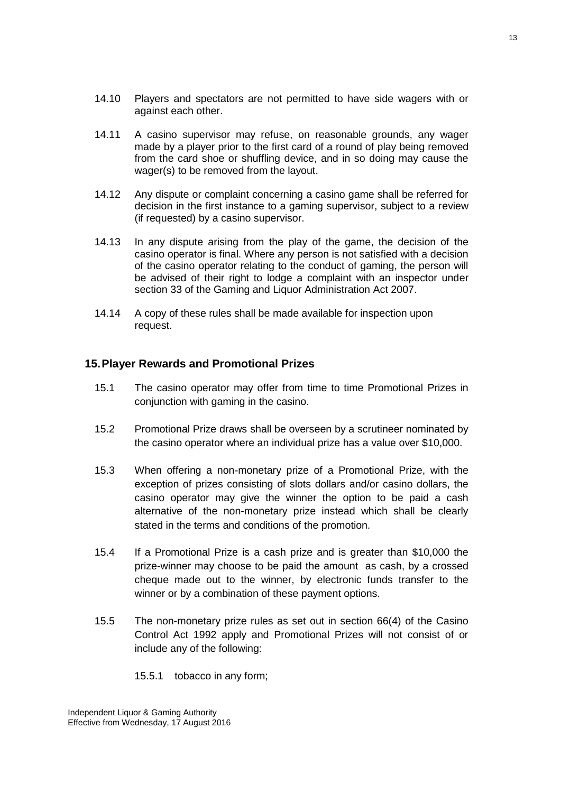- 14.10 Players and spectators are not permitted to have side wagers with or against each other.
- 14.11 A casino supervisor may refuse, on reasonable grounds, any wager made by a player prior to the first card of a round of play being removed from the card shoe or shuffling device, and in so doing may cause the wager(s) to be removed from the layout.
- 14.12 Any dispute or complaint concerning a casino game shall be referred for decision in the first instance to a gaming supervisor, subject to a review (if requested) by a casino supervisor.
- 14.13 In any dispute arising from the play of the game, the decision of the casino operator is final. Where any person is not satisfied with a decision of the casino operator relating to the conduct of gaming, the person will be advised of their right to lodge a complaint with an inspector under section 33 of the Gaming and Liquor Administration Act 2007.
- 14.14 A copy of these rules shall be made available for inspection upon request.

#### <span id="page-12-0"></span>**15.Player Rewards and Promotional Prizes**

- 15.1 The casino operator may offer from time to time Promotional Prizes in conjunction with gaming in the casino.
- 15.2 Promotional Prize draws shall be overseen by a scrutineer nominated by the casino operator where an individual prize has a value over \$10,000.
- 15.3 When offering a non-monetary prize of a Promotional Prize, with the exception of prizes consisting of slots dollars and/or casino dollars, the casino operator may give the winner the option to be paid a cash alternative of the non-monetary prize instead which shall be clearly stated in the terms and conditions of the promotion.
- 15.4 If a Promotional Prize is a cash prize and is greater than \$10,000 the prize-winner may choose to be paid the amount as cash, by a crossed cheque made out to the winner, by electronic funds transfer to the winner or by a combination of these payment options.
- 15.5 The non-monetary prize rules as set out in section 66(4) of the Casino Control Act 1992 apply and Promotional Prizes will not consist of or include any of the following:
	- 15.5.1 tobacco in any form;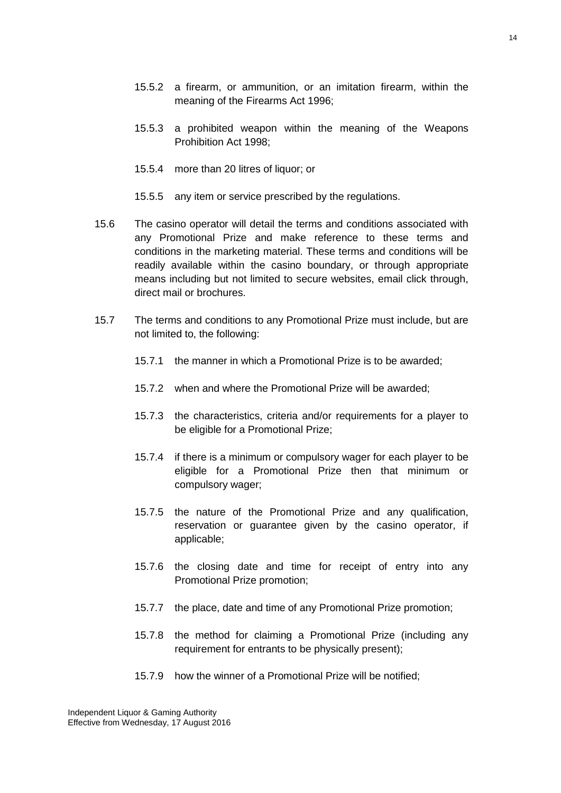- 15.5.2 a firearm, or ammunition, or an imitation firearm, within the meaning of the Firearms Act 1996;
- 15.5.3 a prohibited weapon within the meaning of the Weapons Prohibition Act 1998;
- 15.5.4 more than 20 litres of liquor; or
- 15.5.5 any item or service prescribed by the regulations.
- 15.6 The casino operator will detail the terms and conditions associated with any Promotional Prize and make reference to these terms and conditions in the marketing material. These terms and conditions will be readily available within the casino boundary, or through appropriate means including but not limited to secure websites, email click through, direct mail or brochures.
- 15.7 The terms and conditions to any Promotional Prize must include, but are not limited to, the following:
	- 15.7.1 the manner in which a Promotional Prize is to be awarded;
	- 15.7.2 when and where the Promotional Prize will be awarded;
	- 15.7.3 the characteristics, criteria and/or requirements for a player to be eligible for a Promotional Prize;
	- 15.7.4 if there is a minimum or compulsory wager for each player to be eligible for a Promotional Prize then that minimum or compulsory wager;
	- 15.7.5 the nature of the Promotional Prize and any qualification, reservation or guarantee given by the casino operator, if applicable;
	- 15.7.6 the closing date and time for receipt of entry into any Promotional Prize promotion;
	- 15.7.7 the place, date and time of any Promotional Prize promotion;
	- 15.7.8 the method for claiming a Promotional Prize (including any requirement for entrants to be physically present);
	- 15.7.9 how the winner of a Promotional Prize will be notified;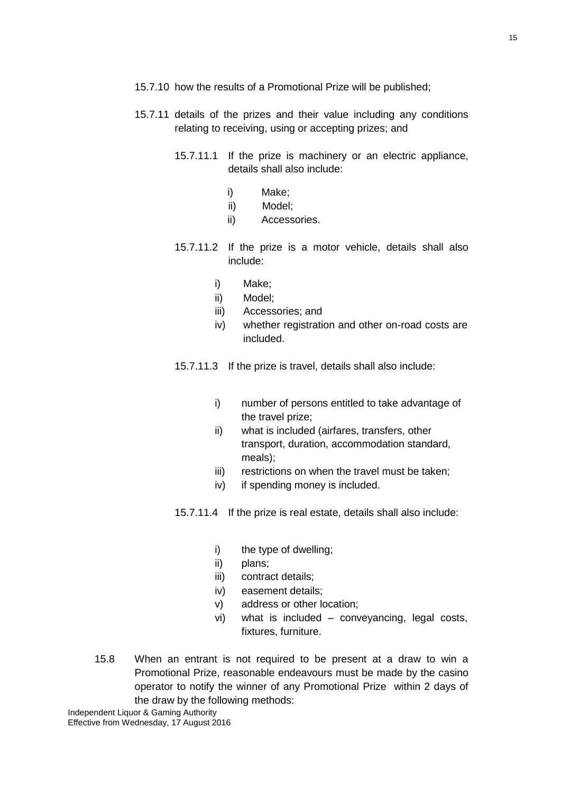- 15.7.10 how the results of a Promotional Prize will be published;
- 15.7.11 details of the prizes and their value including any conditions relating to receiving, using or accepting prizes; and
	- 15.7.11.1 If the prize is machinery or an electric appliance, details shall also include:
		- i) Make;
		- ii) Model;
		- ii) Accessories.
	- 15.7.11.2 If the prize is a motor vehicle, details shall also include:
		- i) Make;
		- ii) Model;
		- iii) Accessories; and
		- iv) whether registration and other on-road costs are included.

15.7.11.3 If the prize is travel, details shall also include:

- i) number of persons entitled to take advantage of the travel prize;
- ii) what is included (airfares, transfers, other transport, duration, accommodation standard, meals);
- iii) restrictions on when the travel must be taken;
- iv) if spending money is included.
- 15.7.11.4 If the prize is real estate, details shall also include:
	- i) the type of dwelling;
	- ii) plans;
	- iii) contract details;
	- iv) easement details;
	- v) address or other location;
	- vi) what is included conveyancing, legal costs, fixtures, furniture.
- 15.8 When an entrant is not required to be present at a draw to win a Promotional Prize, reasonable endeavours must be made by the casino operator to notify the winner of any Promotional Prize within 2 days of the draw by the following methods: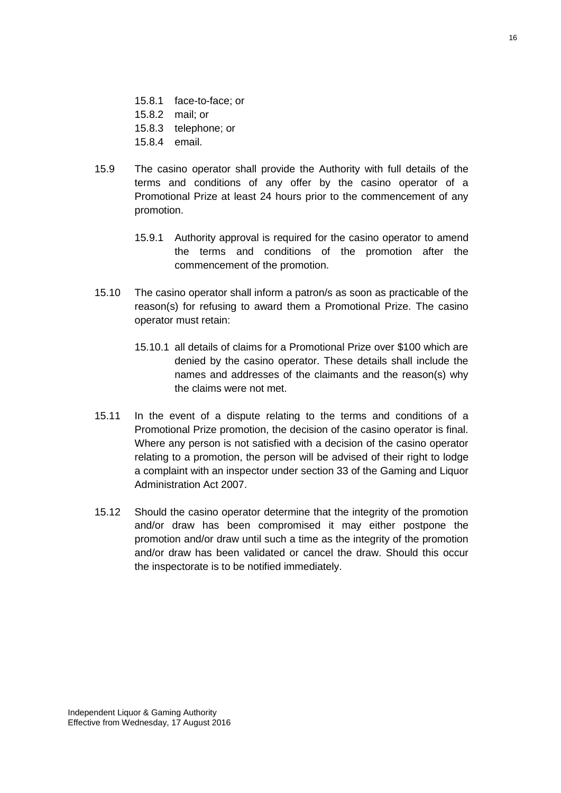- 15.8.1 face-to-face; or
- 15.8.2 mail; or
- 15.8.3 telephone; or
- 15.8.4 email.
- 15.9 The casino operator shall provide the Authority with full details of the terms and conditions of any offer by the casino operator of a Promotional Prize at least 24 hours prior to the commencement of any promotion.
	- 15.9.1 Authority approval is required for the casino operator to amend the terms and conditions of the promotion after the commencement of the promotion.
- 15.10 The casino operator shall inform a patron/s as soon as practicable of the reason(s) for refusing to award them a Promotional Prize. The casino operator must retain:
	- 15.10.1 all details of claims for a Promotional Prize over \$100 which are denied by the casino operator. These details shall include the names and addresses of the claimants and the reason(s) why the claims were not met.
- 15.11 In the event of a dispute relating to the terms and conditions of a Promotional Prize promotion, the decision of the casino operator is final. Where any person is not satisfied with a decision of the casino operator relating to a promotion, the person will be advised of their right to lodge a complaint with an inspector under section 33 of the Gaming and Liquor Administration Act 2007.
- 15.12 Should the casino operator determine that the integrity of the promotion and/or draw has been compromised it may either postpone the promotion and/or draw until such a time as the integrity of the promotion and/or draw has been validated or cancel the draw. Should this occur the inspectorate is to be notified immediately.